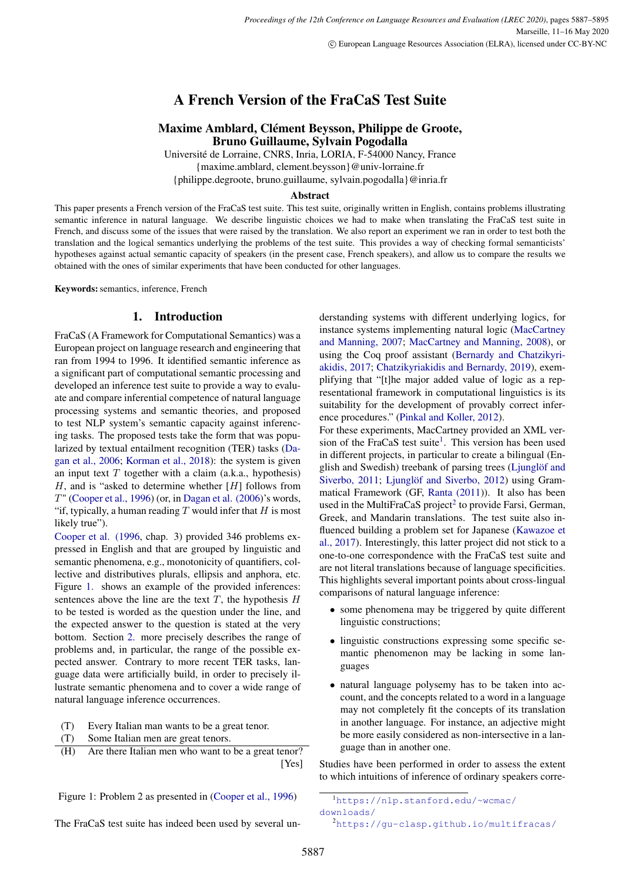# A French Version of the FraCaS Test Suite

## Maxime Amblard, Clément Beysson, Philippe de Groote, Bruno Guillaume, Sylvain Pogodalla

Université de Lorraine, CNRS, Inria, LORIA, F-54000 Nancy, France {maxime.amblard, clement.beysson}@univ-lorraine.fr

{philippe.degroote, bruno.guillaume, sylvain.pogodalla}@inria.fr

#### Abstract

This paper presents a French version of the FraCaS test suite. This test suite, originally written in English, contains problems illustrating semantic inference in natural language. We describe linguistic choices we had to make when translating the FraCaS test suite in French, and discuss some of the issues that were raised by the translation. We also report an experiment we ran in order to test both the translation and the logical semantics underlying the problems of the test suite. This provides a way of checking formal semanticists' hypotheses against actual semantic capacity of speakers (in the present case, French speakers), and allow us to compare the results we obtained with the ones of similar experiments that have been conducted for other languages.

Keywords: semantics, inference, French

## 1. Introduction

<span id="page-0-0"></span>FraCaS (A Framework for Computational Semantics) was a European project on language research and engineering that ran from 1994 to 1996. It identified semantic inference as a significant part of computational semantic processing and developed an inference test suite to provide a way to evaluate and compare inferential competence of natural language processing systems and semantic theories, and proposed to test NLP system's semantic capacity against inferencing tasks. The proposed tests take the form that was popularized by textual entailment recognition (TER) tasks [\(Da](#page-7-0)[gan et al., 2006;](#page-7-0) [Korman et al., 2018\)](#page-7-1): the system is given an input text  $T$  together with a claim (a.k.a., hypothesis)  $H$ , and is "asked to determine whether  $[H]$  follows from  $T''$  [\(Cooper et al., 1996\)](#page-7-2) (or, in [Dagan et al. \(2006\)](#page-7-0)'s words, "if, typically, a human reading  $T$  would infer that  $H$  is most likely true").

[Cooper et al. \(1996,](#page-7-2) chap. 3) provided 346 problems expressed in English and that are grouped by linguistic and semantic phenomena, e.g., monotonicity of quantifiers, collective and distributives plurals, ellipsis and anphora, etc. Figure [1.](#page-0-0) shows an example of the provided inferences: sentences above the line are the text  $T$ , the hypothesis  $H$ to be tested is worded as the question under the line, and the expected answer to the question is stated at the very bottom. Section [2.](#page-1-0) more precisely describes the range of problems and, in particular, the range of the possible expected answer. Contrary to more recent TER tasks, language data were artificially build, in order to precisely illustrate semantic phenomena and to cover a wide range of natural language inference occurrences.

(T) Every Italian man wants to be a great tenor.

- (T) Some Italian men are great tenors.
- (H) Are there Italian men who want to be a great tenor? [Yes]

Figure 1: Problem 2 as presented in [\(Cooper et al., 1996\)](#page-7-2)

The FraCaS test suite has indeed been used by several un-

derstanding systems with different underlying logics, for instance systems implementing natural logic [\(MacCartney](#page-7-3) [and Manning, 2007;](#page-7-3) [MacCartney and Manning, 2008\)](#page-7-4), or using the Coq proof assistant [\(Bernardy and Chatzikyri](#page-7-5)[akidis, 2017;](#page-7-5) [Chatzikyriakidis and Bernardy, 2019\)](#page-7-6), exemplifying that "[t]he major added value of logic as a representational framework in computational linguistics is its suitability for the development of provably correct inference procedures." [\(Pinkal and Koller, 2012\)](#page-7-7).

For these experiments, MacCartney provided an XML ver-sion of the FraCaS test suite<sup>[1](#page-0-1)</sup>. This version has been used in different projects, in particular to create a bilingual (English and Swedish) treebank of parsing trees [\(Ljunglöf and](#page-7-8) [Siverbo, 2011;](#page-7-8) [Ljunglöf and Siverbo, 2012\)](#page-7-9) using Grammatical Framework (GF, [Ranta \(2011\)](#page-8-0)). It also has been used in the MultiFraCaS project<sup>[2](#page-0-2)</sup> to provide Farsi, German, Greek, and Mandarin translations. The test suite also influenced building a problem set for Japanese [\(Kawazoe et](#page-7-10) [al., 2017\)](#page-7-10). Interestingly, this latter project did not stick to a one-to-one correspondence with the FraCaS test suite and are not literal translations because of language specificities. This highlights several important points about cross-lingual comparisons of natural language inference:

- some phenomena may be triggered by quite different linguistic constructions;
- linguistic constructions expressing some specific semantic phenomenon may be lacking in some languages
- natural language polysemy has to be taken into account, and the concepts related to a word in a language may not completely fit the concepts of its translation in another language. For instance, an adjective might be more easily considered as non-intersective in a language than in another one.

Studies have been performed in order to assess the extent to which intuitions of inference of ordinary speakers corre-

<span id="page-0-2"></span><sup>2</sup><https://gu-clasp.github.io/multifracas/>

<span id="page-0-1"></span><sup>1</sup>[https://nlp.stanford.edu/~wcmac/](https://nlp.stanford.edu/~wcmac/downloads/) [downloads/](https://nlp.stanford.edu/~wcmac/downloads/)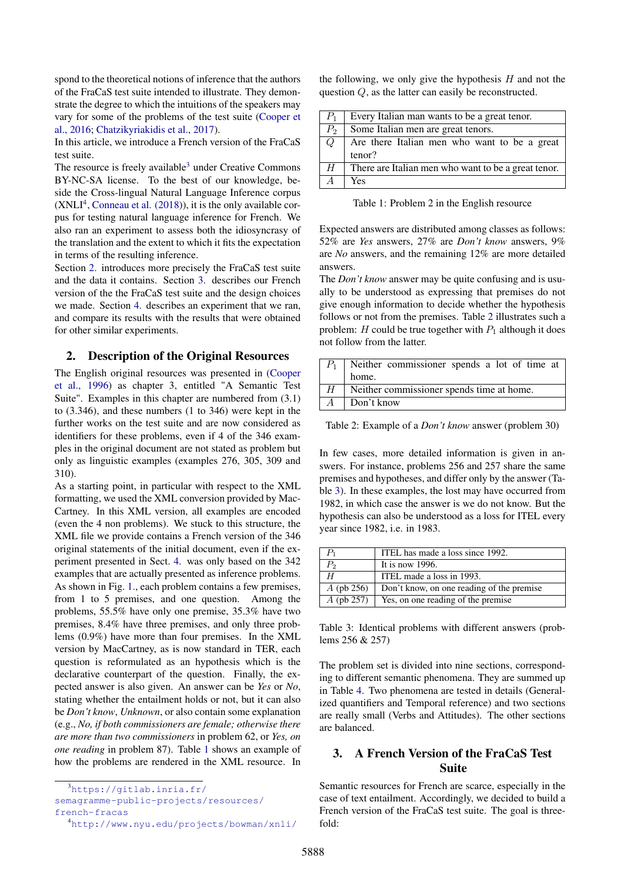spond to the theoretical notions of inference that the authors of the FraCaS test suite intended to illustrate. They demonstrate the degree to which the intuitions of the speakers may vary for some of the problems of the test suite [\(Cooper et](#page-7-11) [al., 2016;](#page-7-11) [Chatzikyriakidis et al., 2017\)](#page-7-12).

In this article, we introduce a French version of the FraCaS test suite.

The resource is freely available<sup>[3](#page-1-1)</sup> under Creative Commons BY-NC-SA license. To the best of our knowledge, beside the Cross-lingual Natural Language Inference corpus  $(XNL<sup>4</sup>, Conneau et al. (2018)),$  $(XNL<sup>4</sup>, Conneau et al. (2018)),$  $(XNL<sup>4</sup>, Conneau et al. (2018)),$  $(XNL<sup>4</sup>, Conneau et al. (2018)),$  $(XNL<sup>4</sup>, Conneau et al. (2018)),$  it is the only available corpus for testing natural language inference for French. We also ran an experiment to assess both the idiosyncrasy of the translation and the extent to which it fits the expectation in terms of the resulting inference.

Section [2.](#page-1-0) introduces more precisely the FraCaS test suite and the data it contains. Section [3.](#page-1-3) describes our French version of the the FraCaS test suite and the design choices we made. Section [4.](#page-3-0) describes an experiment that we ran, and compare its results with the results that were obtained for other similar experiments.

### <span id="page-1-0"></span>2. Description of the Original Resources

The English original resources was presented in [\(Cooper](#page-7-2) [et al., 1996\)](#page-7-2) as chapter 3, entitled "A Semantic Test Suite". Examples in this chapter are numbered from (3.1) to (3.346), and these numbers (1 to 346) were kept in the further works on the test suite and are now considered as identifiers for these problems, even if 4 of the 346 examples in the original document are not stated as problem but only as linguistic examples (examples 276, 305, 309 and 310).

As a starting point, in particular with respect to the XML formatting, we used the XML conversion provided by Mac-Cartney. In this XML version, all examples are encoded (even the 4 non problems). We stuck to this structure, the XML file we provide contains a French version of the 346 original statements of the initial document, even if the experiment presented in Sect. [4.](#page-3-0) was only based on the 342 examples that are actually presented as inference problems. As shown in Fig. [1.,](#page-0-0) each problem contains a few premises, from 1 to 5 premises, and one question. Among the problems, 55.5% have only one premise, 35.3% have two premises, 8.4% have three premises, and only three problems (0.9%) have more than four premises. In the XML version by MacCartney, as is now standard in TER, each question is reformulated as an hypothesis which is the declarative counterpart of the question. Finally, the expected answer is also given. An answer can be *Yes* or *No*, stating whether the entailment holds or not, but it can also be *Don't know*, *Unknown*, or also contain some explanation (e.g., *No, if both commissioners are female; otherwise there are more than two commissioners* in problem 62, or *Yes, on one reading* in problem 87). Table [1](#page-1-4) shows an example of how the problems are rendered in the XML resource. In

[semagramme-public-projects/resources/](https://gitlab.inria.fr/semagramme-public-projects/resources/french-fracas) [french-fracas](https://gitlab.inria.fr/semagramme-public-projects/resources/french-fracas)

the following, we only give the hypothesis  $H$  and not the question Q, as the latter can easily be reconstructed.

| $P_1$          | Every Italian man wants to be a great tenor.        |  |
|----------------|-----------------------------------------------------|--|
| $P_2$          | Some Italian men are great tenors.                  |  |
| Q              | Are there Italian men who want to be a great        |  |
|                | tenor?                                              |  |
| H              | There are Italian men who want to be a great tenor. |  |
| $\overline{A}$ | Yes                                                 |  |

<span id="page-1-4"></span>Table 1: Problem 2 in the English resource

Expected answers are distributed among classes as follows: 52% are *Yes* answers, 27% are *Don't know* answers, 9% are *No* answers, and the remaining 12% are more detailed answers.

The *Don't know* answer may be quite confusing and is usually to be understood as expressing that premises do not give enough information to decide whether the hypothesis follows or not from the premises. Table [2](#page-1-5) illustrates such a problem: H could be true together with  $P_1$  although it does not follow from the latter.

| $P_1$          | Neither commissioner spends a lot of time at |  |  |
|----------------|----------------------------------------------|--|--|
|                | home.                                        |  |  |
| H              | Neither commissioner spends time at home.    |  |  |
| $\overline{A}$ | Don't know                                   |  |  |

<span id="page-1-5"></span>Table 2: Example of a *Don't know* answer (problem 30)

In few cases, more detailed information is given in answers. For instance, problems 256 and 257 share the same premises and hypotheses, and differ only by the answer (Table [3\)](#page-1-6). In these examples, the lost may have occurred from 1982, in which case the answer is we do not know. But the hypothesis can also be understood as a loss for ITEL every year since 1982, i.e. in 1983.

|              | ITEL has made a loss since 1992.          |
|--------------|-------------------------------------------|
| P,           | It is now $1996$ .                        |
|              | ITEL made a loss in 1993.                 |
| $A$ (pb 256) | Don't know, on one reading of the premise |
| $A$ (pb 257) | Yes, on one reading of the premise        |

<span id="page-1-6"></span>Table 3: Identical problems with different answers (problems 256 & 257)

The problem set is divided into nine sections, corresponding to different semantic phenomena. They are summed up in Table [4.](#page-2-0) Two phenomena are tested in details (Generalized quantifiers and Temporal reference) and two sections are really small (Verbs and Attitudes). The other sections are balanced.

## <span id="page-1-3"></span>3. A French Version of the FraCaS Test Suite

Semantic resources for French are scarce, especially in the case of text entailment. Accordingly, we decided to build a French version of the FraCaS test suite. The goal is threefold:

<span id="page-1-1"></span><sup>3</sup>[https://gitlab.inria.fr/](https://gitlab.inria.fr/semagramme-public-projects/resources/french-fracas)

<span id="page-1-2"></span><sup>4</sup><http://www.nyu.edu/projects/bowman/xnli/>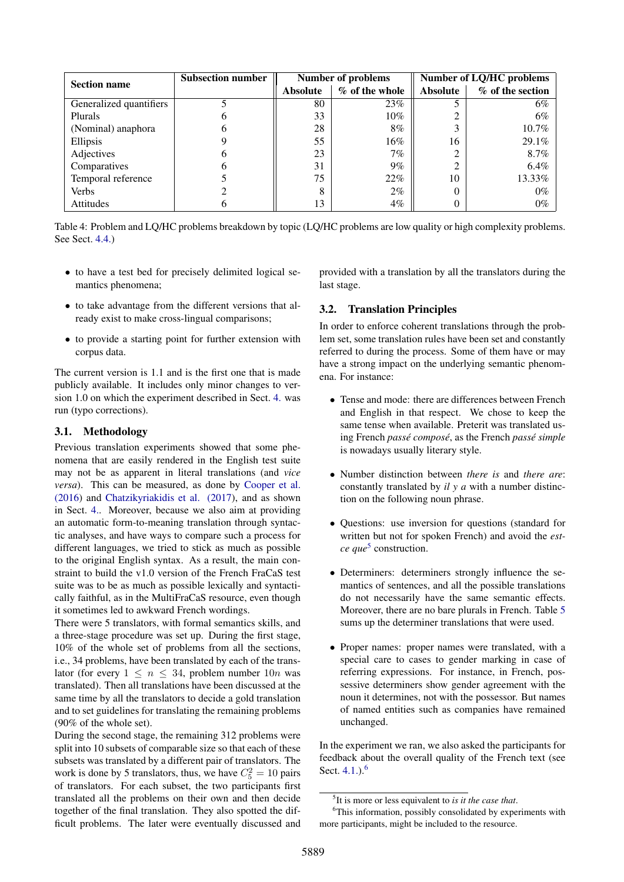| <b>Section name</b>     | <b>Subsection number</b> | <b>Number of problems</b> |                | Number of LQ/HC problems |                  |
|-------------------------|--------------------------|---------------------------|----------------|--------------------------|------------------|
|                         |                          | <b>Absolute</b>           | % of the whole | <b>Absolute</b>          | % of the section |
| Generalized quantifiers |                          | 80                        | 23%            |                          | 6%               |
| Plurals                 |                          | 33                        | $10\%$         |                          | 6%               |
| (Nominal) anaphora      |                          | 28                        | 8%             |                          | 10.7%            |
| Ellipsis                |                          | 55                        | 16%            | 16                       | 29.1%            |
| Adjectives              | h                        | 23                        | 7%             | ◠                        | 8.7%             |
| Comparatives            |                          | 31                        | 9%             | ◠                        | 6.4%             |
| Temporal reference      |                          | 75                        | 22%            | 10                       | 13.33%           |
| <b>Verbs</b>            |                          | 8                         | $2\%$          |                          | $0\%$            |
| Attitudes               | 0                        | 13                        | $4\%$          | 0                        | $0\%$            |

<span id="page-2-0"></span>Table 4: Problem and LQ/HC problems breakdown by topic (LQ/HC problems are low quality or high complexity problems. See Sect. [4.4.\)](#page-4-0)

- to have a test bed for precisely delimited logical semantics phenomena;
- to take advantage from the different versions that already exist to make cross-lingual comparisons;
- to provide a starting point for further extension with corpus data.

The current version is 1.1 and is the first one that is made publicly available. It includes only minor changes to version 1.0 on which the experiment described in Sect. [4.](#page-3-0) was run (typo corrections).

## 3.1. Methodology

Previous translation experiments showed that some phenomena that are easily rendered in the English test suite may not be as apparent in literal translations (and *vice versa*). This can be measured, as done by [Cooper et al.](#page-7-11) [\(2016\)](#page-7-11) and [Chatzikyriakidis et al. \(2017\)](#page-7-12), and as shown in Sect. [4..](#page-3-0) Moreover, because we also aim at providing an automatic form-to-meaning translation through syntactic analyses, and have ways to compare such a process for different languages, we tried to stick as much as possible to the original English syntax. As a result, the main constraint to build the v1.0 version of the French FraCaS test suite was to be as much as possible lexically and syntactically faithful, as in the MultiFraCaS resource, even though it sometimes led to awkward French wordings.

There were 5 translators, with formal semantics skills, and a three-stage procedure was set up. During the first stage, 10% of the whole set of problems from all the sections, i.e., 34 problems, have been translated by each of the translator (for every  $1 \leq n \leq 34$ , problem number  $10n$  was translated). Then all translations have been discussed at the same time by all the translators to decide a gold translation and to set guidelines for translating the remaining problems (90% of the whole set).

During the second stage, the remaining 312 problems were split into 10 subsets of comparable size so that each of these subsets was translated by a different pair of translators. The work is done by 5 translators, thus, we have  $C_5^2 = 10$  pairs of translators. For each subset, the two participants first translated all the problems on their own and then decide together of the final translation. They also spotted the difficult problems. The later were eventually discussed and

provided with a translation by all the translators during the last stage.

#### 3.2. Translation Principles

In order to enforce coherent translations through the problem set, some translation rules have been set and constantly referred to during the process. Some of them have or may have a strong impact on the underlying semantic phenomena. For instance:

- Tense and mode: there are differences between French and English in that respect. We chose to keep the same tense when available. Preterit was translated using French *passé composé*, as the French *passé simple* is nowadays usually literary style.
- Number distinction between *there is* and *there are*: constantly translated by *il y a* with a number distinction on the following noun phrase.
- Questions: use inversion for questions (standard for written but not for spoken French) and avoid the *estce que*[5](#page-2-1) construction.
- Determiners: determiners strongly influence the semantics of sentences, and all the possible translations do not necessarily have the same semantic effects. Moreover, there are no bare plurals in French. Table [5](#page-3-1) sums up the determiner translations that were used.
- Proper names: proper names were translated, with a special care to cases to gender marking in case of referring expressions. For instance, in French, possessive determiners show gender agreement with the noun it determines, not with the possessor. But names of named entities such as companies have remained unchanged.

In the experiment we ran, we also asked the participants for feedback about the overall quality of the French text (see Sect.  $4.1.$ .  $^{6}$  $^{6}$  $^{6}$ 

<span id="page-2-2"></span><span id="page-2-1"></span><sup>5</sup> It is more or less equivalent to *is it the case that*.

<sup>&</sup>lt;sup>6</sup>This information, possibly consolidated by experiments with more participants, might be included to the resource.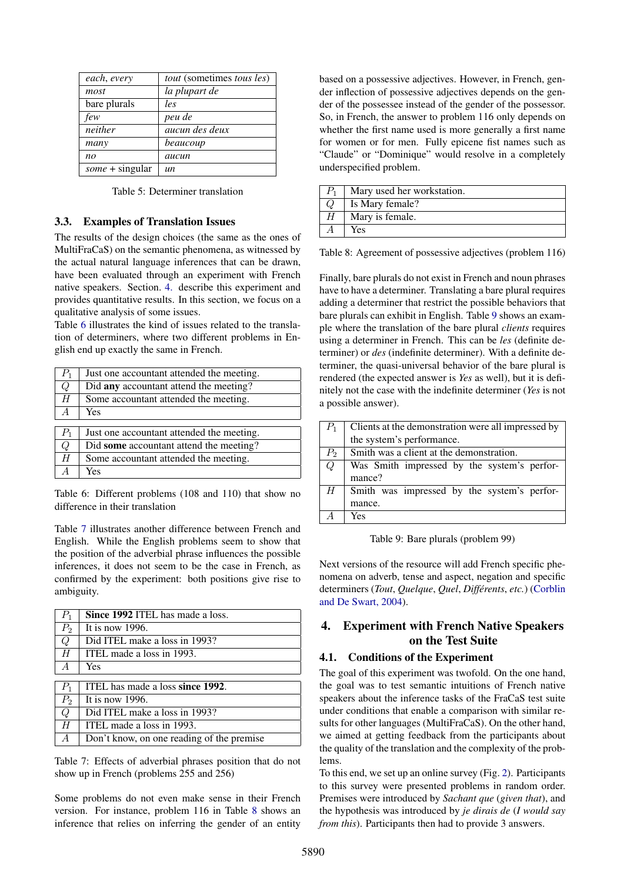| each, every       | <i>tout</i> (sometimes <i>tous les</i> ) |
|-------------------|------------------------------------------|
| most              | la plupart de                            |
| bare plurals      | les                                      |
| few               | peu de                                   |
| neither           | aucun des deux                           |
| many              | beaucoup                                 |
| no                | aucun                                    |
| $some + singular$ | un                                       |

<span id="page-3-1"></span>Table 5: Determiner translation

#### 3.3. Examples of Translation Issues

The results of the design choices (the same as the ones of MultiFraCaS) on the semantic phenomena, as witnessed by the actual natural language inferences that can be drawn, have been evaluated through an experiment with French native speakers. Section. [4.](#page-3-0) describe this experiment and provides quantitative results. In this section, we focus on a qualitative analysis of some issues.

Table [6](#page-3-3) illustrates the kind of issues related to the translation of determiners, where two different problems in English end up exactly the same in French.

| $P_1$          | Just one accountant attended the meeting. |
|----------------|-------------------------------------------|
| Q              | Did any accountant attend the meeting?    |
| H              | Some accountant attended the meeting.     |
| $\overline{A}$ | <b>Yes</b>                                |
|                |                                           |
| $P_1$          | Just one accountant attended the meeting. |
| Q              | Did some accountant attend the meeting?   |
| H              | Some accountant attended the meeting.     |
|                | Yes                                       |

<span id="page-3-3"></span>Table 6: Different problems (108 and 110) that show no difference in their translation

Table [7](#page-3-4) illustrates another difference between French and English. While the English problems seem to show that the position of the adverbial phrase influences the possible inferences, it does not seem to be the case in French, as confirmed by the experiment: both positions give rise to ambiguity.

| $P_1$          | Since 1992 ITEL has made a loss.          |
|----------------|-------------------------------------------|
| $P_2$          | It is now $1996$ .                        |
| Q              | Did ITEL make a loss in 1993?             |
| H              | ITEL made a loss in 1993.                 |
| $\overline{A}$ | Yes                                       |
|                |                                           |
| $P_1$          | ITEL has made a loss since 1992.          |
| $P_2$          | It is now $1996$ .                        |
| Q              | Did ITEL make a loss in 1993?             |
| H              | ITEL made a loss in 1993.                 |
| A              | Don't know, on one reading of the premise |

<span id="page-3-4"></span>Table 7: Effects of adverbial phrases position that do not show up in French (problems 255 and 256)

Some problems do not even make sense in their French version. For instance, problem 116 in Table [8](#page-3-5) shows an inference that relies on inferring the gender of an entity

based on a possessive adjectives. However, in French, gender inflection of possessive adjectives depends on the gender of the possessee instead of the gender of the possessor. So, in French, the answer to problem 116 only depends on whether the first name used is more generally a first name for women or for men. Fully epicene fist names such as "Claude" or "Dominique" would resolve in a completely underspecified problem.

| $P_{1}$ | Mary used her workstation. |
|---------|----------------------------|
|         | Is Mary female?            |
|         | Mary is female.            |
|         | Yes                        |

<span id="page-3-5"></span>Table 8: Agreement of possessive adjectives (problem 116)

Finally, bare plurals do not exist in French and noun phrases have to have a determiner. Translating a bare plural requires adding a determiner that restrict the possible behaviors that bare plurals can exhibit in English. Table [9](#page-3-6) shows an example where the translation of the bare plural *clients* requires using a determiner in French. This can be *les* (definite determiner) or *des* (indefinite determiner). With a definite determiner, the quasi-universal behavior of the bare plural is rendered (the expected answer is *Yes* as well), but it is definitely not the case with the indefinite determiner (*Yes* is not a possible answer).

| $P_1$ | Clients at the demonstration were all impressed by |  |  |  |
|-------|----------------------------------------------------|--|--|--|
|       | the system's performance.                          |  |  |  |
| $P_2$ | Smith was a client at the demonstration.           |  |  |  |
| Q     | Was Smith impressed by the system's perfor-        |  |  |  |
|       | mance?                                             |  |  |  |
| H     | Smith was impressed by the system's perfor-        |  |  |  |
|       | mance.                                             |  |  |  |
|       | Yes                                                |  |  |  |

<span id="page-3-6"></span>Table 9: Bare plurals (problem 99)

Next versions of the resource will add French specific phenomena on adverb, tense and aspect, negation and specific determiners (*Tout*, *Quelque*, *Quel*, *Différents*, *etc.*) [\(Corblin](#page-7-14) [and De Swart, 2004\)](#page-7-14).

## <span id="page-3-0"></span>4. Experiment with French Native Speakers on the Test Suite

## <span id="page-3-2"></span>4.1. Conditions of the Experiment

The goal of this experiment was twofold. On the one hand, the goal was to test semantic intuitions of French native speakers about the inference tasks of the FraCaS test suite under conditions that enable a comparison with similar results for other languages (MultiFraCaS). On the other hand, we aimed at getting feedback from the participants about the quality of the translation and the complexity of the problems.

To this end, we set up an online survey (Fig. [2\)](#page-5-0). Participants to this survey were presented problems in random order. Premises were introduced by *Sachant que* (*given that*), and the hypothesis was introduced by *je dirais de* (*I would say from this*). Participants then had to provide 3 answers.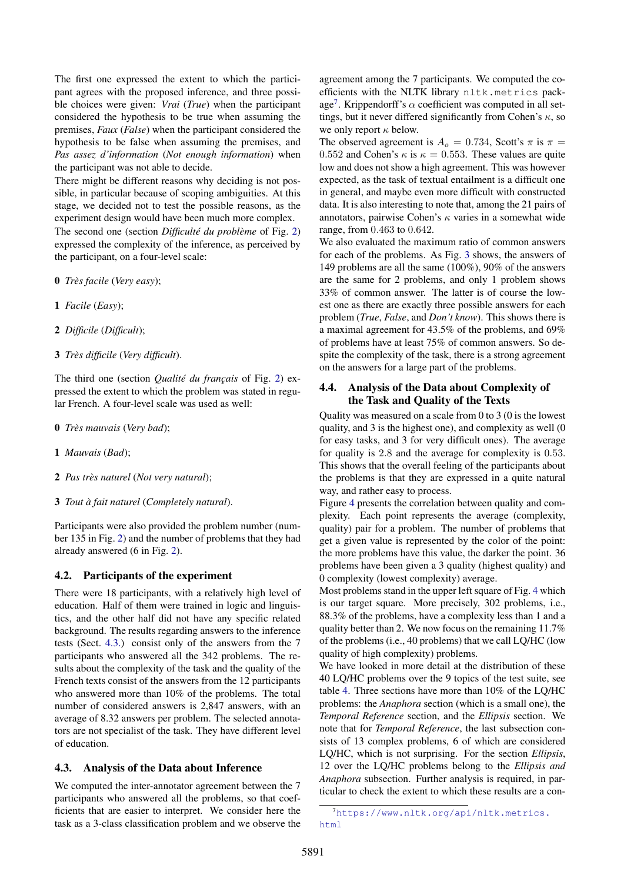The first one expressed the extent to which the participant agrees with the proposed inference, and three possible choices were given: *Vrai* (*True*) when the participant considered the hypothesis to be true when assuming the premises, *Faux* (*False*) when the participant considered the hypothesis to be false when assuming the premises, and *Pas assez d'information* (*Not enough information*) when the participant was not able to decide.

There might be different reasons why deciding is not possible, in particular because of scoping ambiguities. At this stage, we decided not to test the possible reasons, as the experiment design would have been much more complex. The second one (section *Difficulté du problème* of Fig. [2\)](#page-5-0) expressed the complexity of the inference, as perceived by the participant, on a four-level scale:

- 0 *Très facile* (*Very easy*);
- 1 *Facile* (*Easy*);
- 2 *Difficile* (*Difficult*);
- 3 *Très difficile* (*Very difficult*).

The third one (section *Qualité du français* of Fig. [2\)](#page-5-0) expressed the extent to which the problem was stated in regular French. A four-level scale was used as well:

- 0 *Très mauvais* (*Very bad*);
- 1 *Mauvais* (*Bad*);
- 2 *Pas très naturel* (*Not very natural*);
- 3 *Tout à fait naturel* (*Completely natural*).

Participants were also provided the problem number (number 135 in Fig. [2\)](#page-5-0) and the number of problems that they had already answered (6 in Fig. [2\)](#page-5-0).

#### 4.2. Participants of the experiment

There were 18 participants, with a relatively high level of education. Half of them were trained in logic and linguistics, and the other half did not have any specific related background. The results regarding answers to the inference tests (Sect. [4.3.\)](#page-4-1) consist only of the answers from the 7 participants who answered all the 342 problems. The results about the complexity of the task and the quality of the French texts consist of the answers from the 12 participants who answered more than 10% of the problems. The total number of considered answers is 2,847 answers, with an average of 8.32 answers per problem. The selected annotators are not specialist of the task. They have different level of education.

#### <span id="page-4-1"></span>4.3. Analysis of the Data about Inference

We computed the inter-annotator agreement between the 7 participants who answered all the problems, so that coefficients that are easier to interpret. We consider here the task as a 3-class classification problem and we observe the agreement among the 7 participants. We computed the coefficients with the NLTK library nltk.metrics pack-age<sup>[7](#page-4-2)</sup>. Krippendorff's  $\alpha$  coefficient was computed in all settings, but it never differed significantly from Cohen's  $\kappa$ , so we only report  $\kappa$  below.

The observed agreement is  $A_o = 0.734$ , Scott's  $\pi$  is  $\pi$  = 0.552 and Cohen's  $\kappa$  is  $\kappa = 0.553$ . These values are quite low and does not show a high agreement. This was however expected, as the task of textual entailment is a difficult one in general, and maybe even more difficult with constructed data. It is also interesting to note that, among the 21 pairs of annotators, pairwise Cohen's  $\kappa$  varies in a somewhat wide range, from 0.463 to 0.642.

We also evaluated the maximum ratio of common answers for each of the problems. As Fig. [3](#page-5-1) shows, the answers of 149 problems are all the same (100%), 90% of the answers are the same for 2 problems, and only 1 problem shows 33% of common answer. The latter is of course the lowest one as there are exactly three possible answers for each problem (*True*, *False*, and *Don't know*). This shows there is a maximal agreement for 43.5% of the problems, and 69% of problems have at least 75% of common answers. So despite the complexity of the task, there is a strong agreement on the answers for a large part of the problems.

## <span id="page-4-0"></span>4.4. Analysis of the Data about Complexity of the Task and Quality of the Texts

Quality was measured on a scale from 0 to 3 (0 is the lowest quality, and 3 is the highest one), and complexity as well (0 for easy tasks, and 3 for very difficult ones). The average for quality is 2.8 and the average for complexity is 0.53. This shows that the overall feeling of the participants about the problems is that they are expressed in a quite natural way, and rather easy to process.

Figure [4](#page-5-2) presents the correlation between quality and complexity. Each point represents the average (complexity, quality) pair for a problem. The number of problems that get a given value is represented by the color of the point: the more problems have this value, the darker the point. 36 problems have been given a 3 quality (highest quality) and 0 complexity (lowest complexity) average.

Most problems stand in the upper left square of Fig. [4](#page-5-2) which is our target square. More precisely, 302 problems, i.e., 88.3% of the problems, have a complexity less than 1 and a quality better than 2. We now focus on the remaining 11.7% of the problems (i.e., 40 problems) that we call LQ/HC (low quality of high complexity) problems.

We have looked in more detail at the distribution of these 40 LQ/HC problems over the 9 topics of the test suite, see table [4.](#page-2-0) Three sections have more than 10% of the LQ/HC problems: the *Anaphora* section (which is a small one), the *Temporal Reference* section, and the *Ellipsis* section. We note that for *Temporal Reference*, the last subsection consists of 13 complex problems, 6 of which are considered LQ/HC, which is not surprising. For the section *Ellipsis*, 12 over the LQ/HC problems belong to the *Ellipsis and Anaphora* subsection. Further analysis is required, in particular to check the extent to which these results are a con-

<span id="page-4-2"></span><sup>7</sup>[https://www.nltk.org/api/nltk.metrics.](https://www.nltk.org/api/nltk.metrics.html) [html](https://www.nltk.org/api/nltk.metrics.html)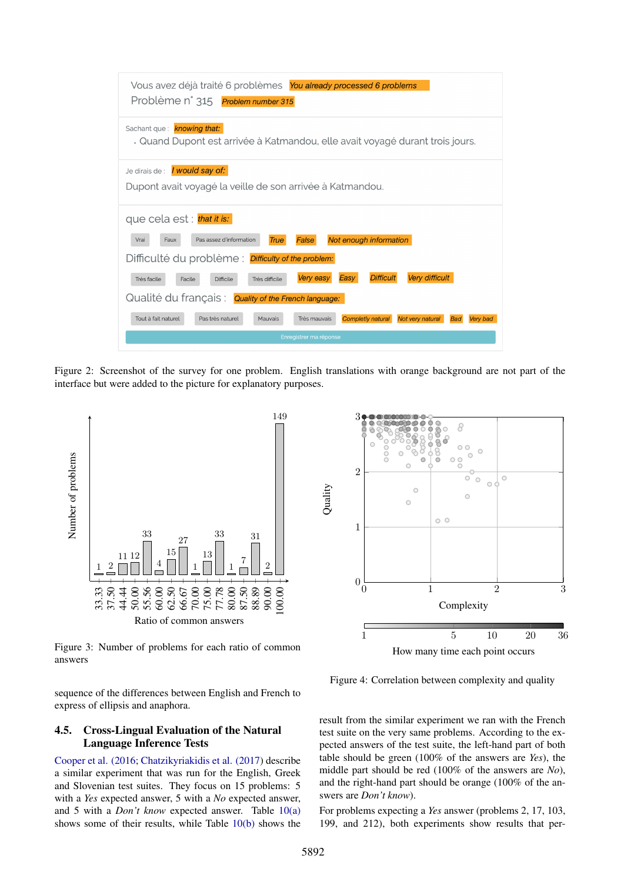| Vous avez déjà traité 6 problèmes You already processed 6 problems<br>Problème n° 315<br>Problem number 315                                                                                                                                                                                                                                                                                                                                                                                                                                |
|--------------------------------------------------------------------------------------------------------------------------------------------------------------------------------------------------------------------------------------------------------------------------------------------------------------------------------------------------------------------------------------------------------------------------------------------------------------------------------------------------------------------------------------------|
| Sachant que: <b>knowing that:</b><br>. Quand Dupont est arrivée à Katmandou, elle avait voyagé durant trois jours.                                                                                                                                                                                                                                                                                                                                                                                                                         |
| Je dirais de : <b>/ would say of:</b><br>Dupont avait voyagé la veille de son arrivée à Katmandou.                                                                                                                                                                                                                                                                                                                                                                                                                                         |
| que cela est : that it is:<br>Pas assez d'information<br>Not enough information<br>Vrai<br>True<br>False<br>Faux<br>Difficulté du problème : <i>Difficulty of the problem:</i><br>Very difficult<br><b>Difficult</b><br>Very easy<br>Easv<br>Très difficile<br>Très facile<br><b>Difficile</b><br>Facile<br>Qualité du français: Quality of the French language:<br>Tout à fait naturel<br>Pas très naturel<br>Mauvais<br>Très mauvais<br><b>Completly natural</b><br>Not very natural<br><b>Bad</b><br>Very bad<br>Enregistrer ma réponse |

<span id="page-5-0"></span>Figure 2: Screenshot of the survey for one problem. English translations with orange background are not part of the interface but were added to the picture for explanatory purposes.



<span id="page-5-1"></span>Figure 3: Number of problems for each ratio of common answers

sequence of the differences between English and French to express of ellipsis and anaphora.

## 4.5. Cross-Lingual Evaluation of the Natural Language Inference Tests

[Cooper et al. \(2016;](#page-7-11) [Chatzikyriakidis et al. \(2017\)](#page-7-12) describe a similar experiment that was run for the English, Greek and Slovenian test suites. They focus on 15 problems: 5 with a *Yes* expected answer, 5 with a *No* expected answer, and 5 with a *Don't know* expected answer. Table [10\(a\)](#page-6-0) shows some of their results, while Table [10\(b\)](#page-6-1) shows the



<span id="page-5-2"></span>Figure 4: Correlation between complexity and quality

result from the similar experiment we ran with the French test suite on the very same problems. According to the expected answers of the test suite, the left-hand part of both table should be green (100% of the answers are *Yes*), the middle part should be red (100% of the answers are *No*), and the right-hand part should be orange (100% of the answers are *Don't know*).

For problems expecting a *Yes* answer (problems 2, 17, 103, 199, and 212), both experiments show results that per-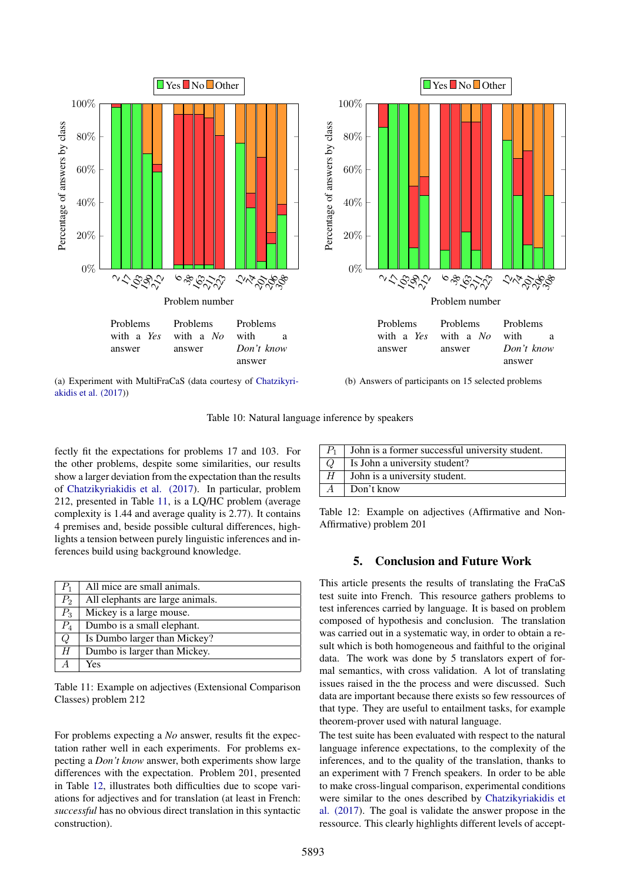<span id="page-6-0"></span>

Table 10: Natural language inference by speakers

fectly fit the expectations for problems 17 and 103. For the other problems, despite some similarities, our results show a larger deviation from the expectation than the results of [Chatzikyriakidis et al. \(2017\)](#page-7-12). In particular, problem 212, presented in Table [11,](#page-6-2) is a LQ/HC problem (average complexity is 1.44 and average quality is 2.77). It contains 4 premises and, beside possible cultural differences, highlights a tension between purely linguistic inferences and inferences build using background knowledge.

| $P_1$ | All mice are small animals.      |
|-------|----------------------------------|
| $P_2$ | All elephants are large animals. |
| $P_3$ | Mickey is a large mouse.         |
| $P_4$ | Dumbo is a small elephant.       |
| Q     | Is Dumbo larger than Mickey?     |
| H     | Dumbo is larger than Mickey.     |
|       | Yes                              |

<span id="page-6-2"></span>Table 11: Example on adjectives (Extensional Comparison Classes) problem 212

For problems expecting a *No* answer, results fit the expectation rather well in each experiments. For problems expecting a *Don't know* answer, both experiments show large differences with the expectation. Problem 201, presented in Table [12,](#page-6-3) illustrates both difficulties due to scope variations for adjectives and for translation (at least in French: *successful* has no obvious direct translation in this syntactic construction).

<span id="page-6-1"></span>

| $\mid P_1 \mid$ | John is a former successful university student. |
|-----------------|-------------------------------------------------|
| Q               | Is John a university student?                   |
| H               | John is a university student.                   |
|                 | Don't know                                      |

<span id="page-6-3"></span>Table 12: Example on adjectives (Affirmative and Non-Affirmative) problem 201

## 5. Conclusion and Future Work

This article presents the results of translating the FraCaS test suite into French. This resource gathers problems to test inferences carried by language. It is based on problem composed of hypothesis and conclusion. The translation was carried out in a systematic way, in order to obtain a result which is both homogeneous and faithful to the original data. The work was done by 5 translators expert of formal semantics, with cross validation. A lot of translating issues raised in the the process and were discussed. Such data are important because there exists so few ressources of that type. They are useful to entailment tasks, for example theorem-prover used with natural language.

The test suite has been evaluated with respect to the natural language inference expectations, to the complexity of the inferences, and to the quality of the translation, thanks to an experiment with 7 French speakers. In order to be able to make cross-lingual comparison, experimental conditions were similar to the ones described by [Chatzikyriakidis et](#page-7-12) [al. \(2017\)](#page-7-12). The goal is validate the answer propose in the ressource. This clearly highlights different levels of accept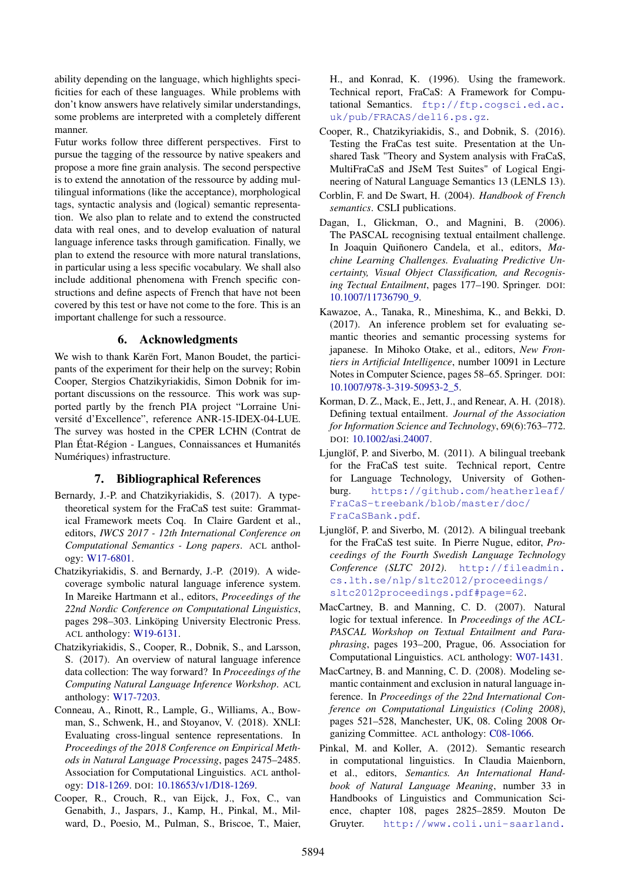ability depending on the language, which highlights specificities for each of these languages. While problems with don't know answers have relatively similar understandings, some problems are interpreted with a completely different manner.

Futur works follow three different perspectives. First to pursue the tagging of the ressource by native speakers and propose a more fine grain analysis. The second perspective is to extend the annotation of the ressource by adding multilingual informations (like the acceptance), morphological tags, syntactic analysis and (logical) semantic representation. We also plan to relate and to extend the constructed data with real ones, and to develop evaluation of natural language inference tasks through gamification. Finally, we plan to extend the resource with more natural translations, in particular using a less specific vocabulary. We shall also include additional phenomena with French specific constructions and define aspects of French that have not been covered by this test or have not come to the fore. This is an important challenge for such a ressource.

## 6. Acknowledgments

We wish to thank Karën Fort, Manon Boudet, the participants of the experiment for their help on the survey; Robin Cooper, Stergios Chatzikyriakidis, Simon Dobnik for important discussions on the ressource. This work was supported partly by the french PIA project "Lorraine Université d'Excellence", reference ANR-15-IDEX-04-LUE. The survey was hosted in the CPER LCHN (Contrat de Plan État-Région - Langues, Connaissances et Humanités Numériques) infrastructure.

### 7. Bibliographical References

- <span id="page-7-5"></span>Bernardy, J.-P. and Chatzikyriakidis, S. (2017). A typetheoretical system for the FraCaS test suite: Grammatical Framework meets Coq. In Claire Gardent et al., editors, *IWCS 2017 - 12th International Conference on Computational Semantics - Long papers*. ACL anthology: [W17-6801.](http://aclweb.org/anthology/W17-6801)
- <span id="page-7-6"></span>Chatzikyriakidis, S. and Bernardy, J.-P. (2019). A widecoverage symbolic natural language inference system. In Mareike Hartmann et al., editors, *Proceedings of the 22nd Nordic Conference on Computational Linguistics*, pages 298–303. Linköping University Electronic Press. ACL anthology: [W19-6131.](http://aclweb.org/anthology/W19-6131)
- <span id="page-7-12"></span>Chatzikyriakidis, S., Cooper, R., Dobnik, S., and Larsson, S. (2017). An overview of natural language inference data collection: The way forward? In *Proceedings of the Computing Natural Language Inference Workshop*. ACL anthology: [W17-7203.](http://aclweb.org/anthology/W17-7203)
- <span id="page-7-13"></span>Conneau, A., Rinott, R., Lample, G., Williams, A., Bowman, S., Schwenk, H., and Stoyanov, V. (2018). XNLI: Evaluating cross-lingual sentence representations. In *Proceedings of the 2018 Conference on Empirical Methods in Natural Language Processing*, pages 2475–2485. Association for Computational Linguistics. ACL anthology: [D18-1269.](http://aclweb.org/anthology/D18-1269) DOI: [10.18653/v1/D18-1269.](http://dx.doi.org//10.18653/v1/D18-1269)
- <span id="page-7-2"></span>Cooper, R., Crouch, R., van Eijck, J., Fox, C., van Genabith, J., Jaspars, J., Kamp, H., Pinkal, M., Milward, D., Poesio, M., Pulman, S., Briscoe, T., Maier,

H., and Konrad, K. (1996). Using the framework. Technical report, FraCaS: A Framework for Computational Semantics. [ftp://ftp.cogsci.ed.ac.](ftp://ftp.cogsci.ed.ac.uk/pub/FRACAS/del16.ps.gz) [uk/pub/FRACAS/del16.ps.gz](ftp://ftp.cogsci.ed.ac.uk/pub/FRACAS/del16.ps.gz).

- <span id="page-7-11"></span>Cooper, R., Chatzikyriakidis, S., and Dobnik, S. (2016). Testing the FraCas test suite. Presentation at the Unshared Task "Theory and System analysis with FraCaS, MultiFraCaS and JSeM Test Suites" of Logical Engineering of Natural Language Semantics 13 (LENLS 13).
- <span id="page-7-14"></span>Corblin, F. and De Swart, H. (2004). *Handbook of French semantics*. CSLI publications.
- <span id="page-7-0"></span>Dagan, I., Glickman, O., and Magnini, B. (2006). The PASCAL recognising textual entailment challenge. In Joaquin Quiñonero Candela, et al., editors, *Machine Learning Challenges. Evaluating Predictive Uncertainty, Visual Object Classification, and Recognising Tectual Entailment*, pages 177–190. Springer. DOI: [10.1007/11736790\\_9.](http://dx.doi.org//10.1007/11736790_9)
- <span id="page-7-10"></span>Kawazoe, A., Tanaka, R., Mineshima, K., and Bekki, D. (2017). An inference problem set for evaluating semantic theories and semantic processing systems for japanese. In Mihoko Otake, et al., editors, *New Frontiers in Artificial Intelligence*, number 10091 in Lecture Notes in Computer Science, pages 58–65. Springer. DOI: [10.1007/978-3-319-50953-2\\_5.](http://dx.doi.org//10.1007/978-3-319-50953-2_5)
- <span id="page-7-1"></span>Korman, D. Z., Mack, E., Jett, J., and Renear, A. H. (2018). Defining textual entailment. *Journal of the Association for Information Science and Technology*, 69(6):763–772. DOI: [10.1002/asi.24007.](http://dx.doi.org//10.1002/asi.24007)
- <span id="page-7-8"></span>Ljunglöf, P. and Siverbo, M. (2011). A bilingual treebank for the FraCaS test suite. Technical report, Centre for Language Technology, University of Gothenburg. [https://github.com/heatherleaf/](https://github.com/heatherleaf/FraCaS-treebank/blob/master/doc/FraCaSBank.pdf) [FraCaS-treebank/blob/master/doc/](https://github.com/heatherleaf/FraCaS-treebank/blob/master/doc/FraCaSBank.pdf) [FraCaSBank.pdf](https://github.com/heatherleaf/FraCaS-treebank/blob/master/doc/FraCaSBank.pdf).
- <span id="page-7-9"></span>Ljunglöf, P. and Siverbo, M. (2012). A bilingual treebank for the FraCaS test suite. In Pierre Nugue, editor, *Proceedings of the Fourth Swedish Language Technology Conference (SLTC 2012)*. [http://fileadmin.](http://fileadmin.cs.lth.se/nlp/sltc2012/proceedings/sltc2012proceedings.pdf#page=62) [cs.lth.se/nlp/sltc2012/proceedings/](http://fileadmin.cs.lth.se/nlp/sltc2012/proceedings/sltc2012proceedings.pdf#page=62) [sltc2012proceedings.pdf#page=62](http://fileadmin.cs.lth.se/nlp/sltc2012/proceedings/sltc2012proceedings.pdf#page=62).
- <span id="page-7-3"></span>MacCartney, B. and Manning, C. D. (2007). Natural logic for textual inference. In *Proceedings of the ACL-PASCAL Workshop on Textual Entailment and Paraphrasing*, pages 193–200, Prague, 06. Association for Computational Linguistics. ACL anthology: [W07-1431.](http://aclweb.org/anthology/W07-1431)
- <span id="page-7-4"></span>MacCartney, B. and Manning, C. D. (2008). Modeling semantic containment and exclusion in natural language inference. In *Proceedings of the 22nd International Conference on Computational Linguistics (Coling 2008)*, pages 521–528, Manchester, UK, 08. Coling 2008 Organizing Committee. ACL anthology: [C08-1066.](http://aclweb.org/anthology/C08-1066)
- <span id="page-7-7"></span>Pinkal, M. and Koller, A. (2012). Semantic research in computational linguistics. In Claudia Maienborn, et al., editors, *Semantics. An International Handbook of Natural Language Meaning*, number 33 in Handbooks of Linguistics and Communication Science, chapter 108, pages 2825–2859. Mouton De Gruyter. [http://www.coli.uni-saarland.](http://www.coli.uni-saarland.de/~koller/papers/sem-handbook.pdf)